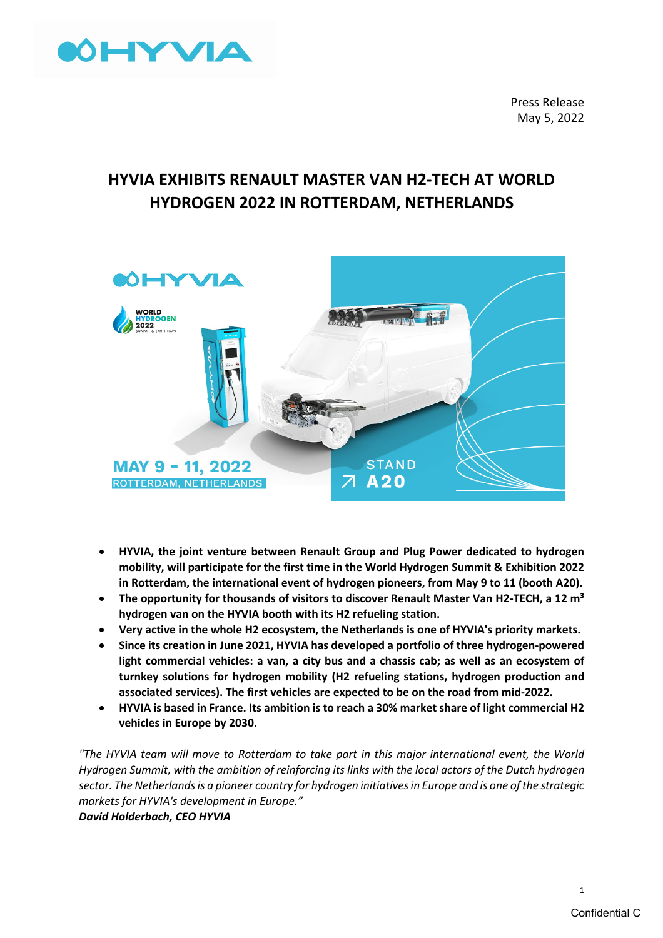

Press Release May 5, 2022

# **HYVIA EXHIBITS RENAULT MASTER VAN H2-TECH AT WORLD HYDROGEN 2022 IN ROTTERDAM, NETHERLANDS**



- **HYVIA, the joint venture between Renault Group and Plug Power dedicated to hydrogen mobility, will participate for the first time in the World Hydrogen Summit & Exhibition 2022 in Rotterdam, the international event of hydrogen pioneers, from May 9 to 11 (booth A20).**
- The opportunity for thousands of visitors to discover Renault Master Van H2-TECH, a 12 m<sup>3</sup> **hydrogen van on the HYVIA booth with its H2 refueling station.**
- **Very active in the whole H2 ecosystem, the Netherlands is one of HYVIA's priority markets.**
- **Since its creation in June 2021, HYVIA has developed a portfolio of three hydrogen-powered light commercial vehicles: a van, a city bus and a chassis cab; as well as an ecosystem of turnkey solutions for hydrogen mobility (H2 refueling stations, hydrogen production and associated services). The first vehicles are expected to be on the road from mid-2022.**
- **HYVIA is based in France. Its ambition is to reach a 30% market share of light commercial H2 vehicles in Europe by 2030.**

*"The HYVIA team will move to Rotterdam to take part in this major international event, the World Hydrogen Summit, with the ambition of reinforcing its links with the local actors of the Dutch hydrogen sector. The Netherlands is a pioneer country for hydrogen initiatives in Europe and is one of the strategic markets for HYVIA's development in Europe."*

*David Holderbach, CEO HYVIA*